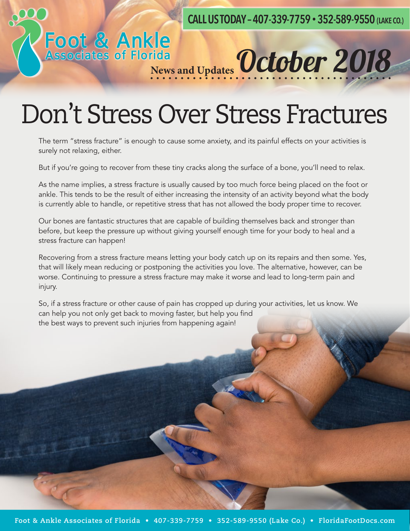**CALL US TODAY – 407-339-7759 • 352-589-9550 (LAKE CO.)**

### Don't Stress Over Stress Fractures

Foot & Ankle<br>Associates of Florida<br>News and Updates October 2018

The term "stress fracture" is enough to cause some anxiety, and its painful effects on your activities is surely not relaxing, either.

But if you're going to recover from these tiny cracks along the surface of a bone, you'll need to relax.

As the name implies, a stress fracture is usually caused by too much force being placed on the foot or ankle. This tends to be the result of either increasing the intensity of an activity beyond what the body is currently able to handle, or repetitive stress that has not allowed the body proper time to recover.

Our bones are fantastic structures that are capable of building themselves back and stronger than before, but keep the pressure up without giving yourself enough time for your body to heal and a stress fracture can happen!

Recovering from a stress fracture means letting your body catch up on its repairs and then some. Yes, that will likely mean reducing or postponing the activities you love. The alternative, however, can be worse. Continuing to pressure a stress fracture may make it worse and lead to long-term pain and injury.

So, if a stress fracture or other cause of pain has cropped up during your activities, let us know. We can help you not only get back to moving faster, but help you find the best ways to prevent such injuries from happening again!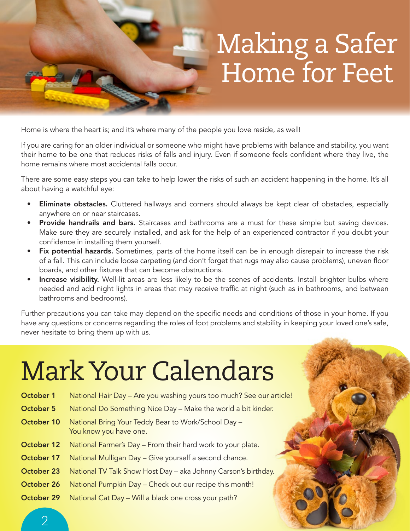## Making a Safer Home for Feet

Home is where the heart is; and it's where many of the people you love reside, as well!

If you are caring for an older individual or someone who might have problems with balance and stability, you want their home to be one that reduces risks of falls and injury. Even if someone feels confident where they live, the home remains where most accidental falls occur.

There are some easy steps you can take to help lower the risks of such an accident happening in the home. It's all about having a watchful eye:

- Eliminate obstacles. Cluttered hallways and corners should always be kept clear of obstacles, especially anywhere on or near staircases.
- **Provide handrails and bars.** Staircases and bathrooms are a must for these simple but saving devices. Make sure they are securely installed, and ask for the help of an experienced contractor if you doubt your confidence in installing them yourself.
- Fix potential hazards. Sometimes, parts of the home itself can be in enough disrepair to increase the risk of a fall. This can include loose carpeting (and don't forget that rugs may also cause problems), uneven floor boards, and other fixtures that can become obstructions.
- Increase visibility. Well-lit areas are less likely to be the scenes of accidents. Install brighter bulbs where needed and add night lights in areas that may receive traffic at night (such as in bathrooms, and between bathrooms and bedrooms).

Further precautions you can take may depend on the specific needs and conditions of those in your home. If you have any questions or concerns regarding the roles of foot problems and stability in keeping your loved one's safe, never hesitate to bring them up with us.

# Mark Your Calendars

| October 1  | National Hair Day – Are you washing yours too much? See our article!          |
|------------|-------------------------------------------------------------------------------|
| October 5  | National Do Something Nice Day - Make the world a bit kinder.                 |
| October 10 | National Bring Your Teddy Bear to Work/School Day -<br>You know you have one. |
| October 12 | National Farmer's Day - From their hard work to your plate.                   |
| October 17 | National Mulligan Day - Give yourself a second chance.                        |
| October 23 | National TV Talk Show Host Day - aka Johnny Carson's birthday.                |
| October 26 | National Pumpkin Day - Check out our recipe this month!                       |
| October 29 | National Cat Day - Will a black one cross your path?                          |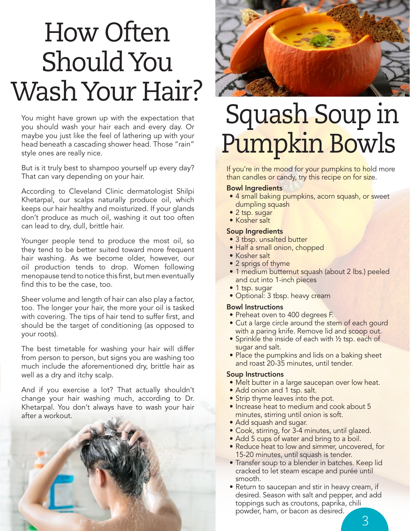# How Often Should You Wash Your Hair?

You might have grown up with the expectation that you should wash your hair each and every day. Or maybe you just like the feel of lathering up with your head beneath a cascading shower head. Those "rain" style ones are really nice.

But is it truly best to shampoo yourself up every day? That can vary depending on your hair.

According to Cleveland Clinic dermatologist Shilpi Khetarpal, our scalps naturally produce oil, which keeps our hair healthy and moisturized. If your glands don't produce as much oil, washing it out too often can lead to dry, dull, brittle hair.

Younger people tend to produce the most oil, so they tend to be better suited toward more frequent hair washing. As we become older, however, our oil production tends to drop. Women following menopause tend to notice this first, but men eventually find this to be the case, too.

Sheer volume and length of hair can also play a factor, too. The longer your hair, the more your oil is tasked with covering. The tips of hair tend to suffer first, and should be the target of conditioning (as opposed to your roots).

The best timetable for washing your hair will differ from person to person, but signs you are washing too much include the aforementioned dry, brittle hair as well as a dry and itchy scalp.

And if you exercise a lot? That actually shouldn't change your hair washing much, according to Dr. Khetarpal. You don't always have to wash your hair after a workout.





## Squash Soup in Pumpkin Bowls

If you're in the mood for your pumpkins to hold more than candles or candy, try this recipe on for size.

#### Bowl Ingredients

- 4 small baking pumpkins, acorn squash, or sweet dumpling squash
- 2 tsp. sugar
- Kosher salt

#### Soup Ingredients

- 3 tbsp. unsalted butter
- Half a small onion, chopped
- Kosher salt
- 2 sprigs of thyme
- 1 medium butternut squash (about 2 lbs.) peeled and cut into 1-inch pieces
- 1 tsp. sugar
- Optional: 3 tbsp. heavy cream

#### Bowl Instructions

- Preheat oven to 400 degrees F.
- Cut a large circle around the stem of each gourd with a paring knife. Remove lid and scoop out.
- Sprinkle the inside of each with 1/2 tsp. each of sugar and salt.
- Place the pumpkins and lids on a baking sheet and roast 20-35 minutes, until tender.

#### Soup Instructions

- Melt butter in a large saucepan over low heat.
- Add onion and 1 tsp. salt.
- Strip thyme leaves into the pot.
- Increase heat to medium and cook about 5 minutes, stirring until onion is soft.
- Add squash and sugar.
- Cook, stirring, for 3-4 minutes, until glazed.
- Add 5 cups of water and bring to a boil.
- Reduce heat to low and simmer, uncovered, for 15-20 minutes, until squash is tender.
- Transfer soup to a blender in batches. Keep lid cracked to let steam escape and purée until smooth.
- Return to saucepan and stir in heavy cream, if desired. Season with salt and pepper, and add toppings such as croutons, paprika, chili powder, ham, or bacon as desired.